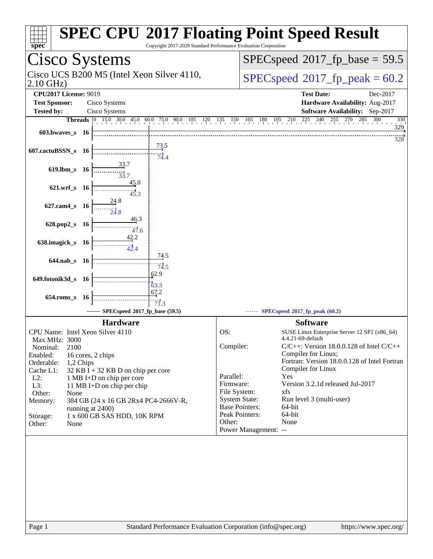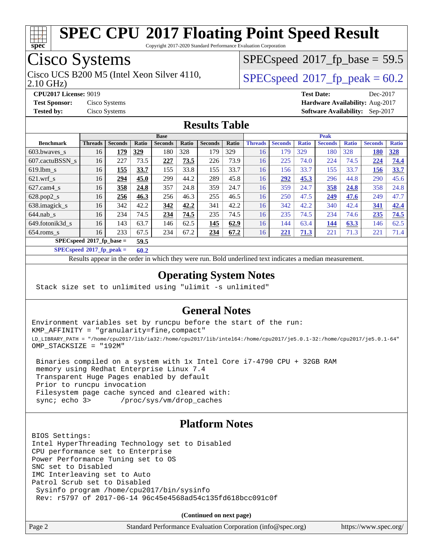

Copyright 2017-2020 Standard Performance Evaluation Corporation

## Cisco Systems

2.10 GHz) Cisco UCS B200 M5 (Intel Xeon Silver 4110,  $SPECspeed@2017\_fp\_peak = 60.2$  $SPECspeed@2017\_fp\_peak = 60.2$ 

 $SPECspeed^{\circ}2017\_fp\_base = 59.5$  $SPECspeed^{\circ}2017\_fp\_base = 59.5$ 

**[CPU2017 License:](http://www.spec.org/auto/cpu2017/Docs/result-fields.html#CPU2017License)** 9019 **[Test Date:](http://www.spec.org/auto/cpu2017/Docs/result-fields.html#TestDate)** Dec-2017 **[Test Sponsor:](http://www.spec.org/auto/cpu2017/Docs/result-fields.html#TestSponsor)** Cisco Systems **[Hardware Availability:](http://www.spec.org/auto/cpu2017/Docs/result-fields.html#HardwareAvailability)** Aug-2017 **[Tested by:](http://www.spec.org/auto/cpu2017/Docs/result-fields.html#Testedby)** Cisco Systems **[Software Availability:](http://www.spec.org/auto/cpu2017/Docs/result-fields.html#SoftwareAvailability)** Sep-2017

#### **[Results Table](http://www.spec.org/auto/cpu2017/Docs/result-fields.html#ResultsTable)**

|                            | <b>Base</b>    |                |              |                |       | <b>Peak</b>    |       |                |                |              |                |              |                |              |
|----------------------------|----------------|----------------|--------------|----------------|-------|----------------|-------|----------------|----------------|--------------|----------------|--------------|----------------|--------------|
| <b>Benchmark</b>           | <b>Threads</b> | <b>Seconds</b> | <b>Ratio</b> | <b>Seconds</b> | Ratio | <b>Seconds</b> | Ratio | <b>Threads</b> | <b>Seconds</b> | <b>Ratio</b> | <b>Seconds</b> | <b>Ratio</b> | <b>Seconds</b> | <b>Ratio</b> |
| $603.bwaves$ s             | 16             | 179            | 329          | 180            | 328   | 179            | 329   | 16             | 179            | 329          | 180            | 328          | 180            | <b>328</b>   |
| 607.cactuBSSN s            | 16             | 227            | 73.5         | 227            | 73.5  | 226            | 73.9  | 16             | 225            | 74.0         | 224            | 74.5         | 224            | 74.4         |
| $619.$ lbm s               | 16             | 155            | 33.7         | 155            | 33.8  | 155            | 33.7  | 16             | 156            | 33.7         | 155            | 33.7         | 156            | 33.7         |
| $621$ .wrf s               | 16             | 294            | 45.0         | 299            | 44.2  | 289            | 45.8  | 16             | 292            | 45.3         | 296            | 44.8         | 290            | 45.6         |
| $627$ .cam4 s              | 16             | 358            | 24.8         | 357            | 24.8  | 359            | 24.7  | 16             | 359            | 24.7         | 358            | 24.8         | 358            | 24.8         |
| $628.pop2_s$               | 16             | 256            | 46.3         | 256            | 46.3  | 255            | 46.5  | 16             | 250            | 47.5         | 249            | 47.6         | 249            | 47.7         |
| 638.imagick_s              | 16             | 342            | 42.2         | 342            | 42.2  | 341            | 42.2  | 16             | 342            | 42.2         | 340            | 42.4         | 341            | 42.4         |
| $644$ .nab s               | 16             | 234            | 74.5         | 234            | 74.5  | 235            | 74.5  | 16             | 235            | 74.5         | 234            | 74.6         | 235            | 74.5         |
| 649.fotonik3d s            | 16             | 143            | 63.7         | 146            | 62.5  | 145            | 62.9  | 16             | 144            | 63.4         | 144            | 63.3         | 146            | 62.5         |
| $654$ .roms s              | 16             | 233            | 67.5         | 234            | 67.2  | 234            | 67.2  | 16             | 221            | 71.3         | 221            | 71.3         | 221            | 71.4         |
| $SPECspeed*2017$ fp base = |                |                | 59.5         |                |       |                |       |                |                |              |                |              |                |              |

**[SPECspeed](http://www.spec.org/auto/cpu2017/Docs/result-fields.html#SPECspeed2017fppeak)[2017\\_fp\\_peak =](http://www.spec.org/auto/cpu2017/Docs/result-fields.html#SPECspeed2017fppeak) 60.2**

Results appear in the [order in which they were run.](http://www.spec.org/auto/cpu2017/Docs/result-fields.html#RunOrder) Bold underlined text [indicates a median measurement](http://www.spec.org/auto/cpu2017/Docs/result-fields.html#Median).

#### **[Operating System Notes](http://www.spec.org/auto/cpu2017/Docs/result-fields.html#OperatingSystemNotes)**

Stack size set to unlimited using "ulimit -s unlimited"

#### **[General Notes](http://www.spec.org/auto/cpu2017/Docs/result-fields.html#GeneralNotes)**

Environment variables set by runcpu before the start of the run: KMP\_AFFINITY = "granularity=fine,compact" LD\_LIBRARY\_PATH = "/home/cpu2017/lib/ia32:/home/cpu2017/lib/intel64:/home/cpu2017/je5.0.1-32:/home/cpu2017/je5.0.1-64" OMP\_STACKSIZE = "192M"

 Binaries compiled on a system with 1x Intel Core i7-4790 CPU + 32GB RAM memory using Redhat Enterprise Linux 7.4 Transparent Huge Pages enabled by default Prior to runcpu invocation Filesystem page cache synced and cleared with: sync; echo 3> /proc/sys/vm/drop\_caches

#### **[Platform Notes](http://www.spec.org/auto/cpu2017/Docs/result-fields.html#PlatformNotes)**

BIOS Settings: Intel HyperThreading Technology set to Disabled CPU performance set to Enterprise Power Performance Tuning set to OS SNC set to Disabled IMC Interleaving set to Auto Patrol Scrub set to Disabled Sysinfo program /home/cpu2017/bin/sysinfo Rev: r5797 of 2017-06-14 96c45e4568ad54c135fd618bcc091c0f

**(Continued on next page)**

| https://www.spec.org/ |  |
|-----------------------|--|
|                       |  |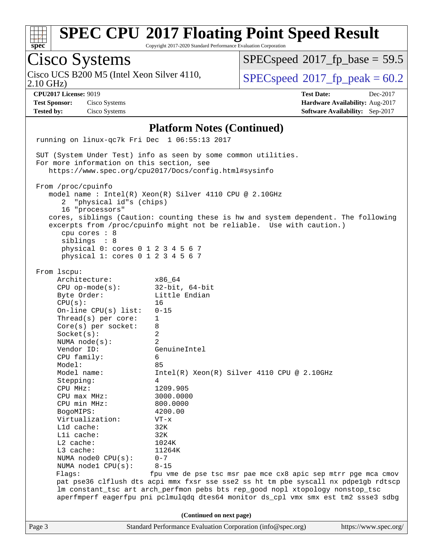| S1 | Dе | L. |  |
|----|----|----|--|

Cisco Systems

Cisco UCS B200 M5 (Intel Xeon Silver 4110,<br>2.10 GHz)

# **[SPEC CPU](http://www.spec.org/auto/cpu2017/Docs/result-fields.html#SPECCPU2017FloatingPointSpeedResult)[2017 Floating Point Speed Result](http://www.spec.org/auto/cpu2017/Docs/result-fields.html#SPECCPU2017FloatingPointSpeedResult)**

 $SPECspeed^{\circ}2017$  $SPECspeed^{\circ}2017$  fp peak = 60.2

 $SPECspeed^{\circ}2017\_fp\_base = 59.5$  $SPECspeed^{\circ}2017\_fp\_base = 59.5$ 

Copyright 2017-2020 Standard Performance Evaluation Corporation

#### Page 3 Standard Performance Evaluation Corporation [\(info@spec.org\)](mailto:info@spec.org) <https://www.spec.org/> **[CPU2017 License:](http://www.spec.org/auto/cpu2017/Docs/result-fields.html#CPU2017License)** 9019 **[Test Date:](http://www.spec.org/auto/cpu2017/Docs/result-fields.html#TestDate)** Dec-2017 **[Test Sponsor:](http://www.spec.org/auto/cpu2017/Docs/result-fields.html#TestSponsor)** Cisco Systems **[Hardware Availability:](http://www.spec.org/auto/cpu2017/Docs/result-fields.html#HardwareAvailability)** Aug-2017 **[Tested by:](http://www.spec.org/auto/cpu2017/Docs/result-fields.html#Testedby)** Cisco Systems **[Software Availability:](http://www.spec.org/auto/cpu2017/Docs/result-fields.html#SoftwareAvailability)** Sep-2017 **[Platform Notes \(Continued\)](http://www.spec.org/auto/cpu2017/Docs/result-fields.html#PlatformNotes)** running on linux-qc7k Fri Dec 1 06:55:13 2017 SUT (System Under Test) info as seen by some common utilities. For more information on this section, see <https://www.spec.org/cpu2017/Docs/config.html#sysinfo> From /proc/cpuinfo model name : Intel(R) Xeon(R) Silver 4110 CPU @ 2.10GHz 2 "physical id"s (chips) 16 "processors" cores, siblings (Caution: counting these is hw and system dependent. The following excerpts from /proc/cpuinfo might not be reliable. Use with caution.) cpu cores : 8 siblings : 8 physical 0: cores 0 1 2 3 4 5 6 7 physical 1: cores 0 1 2 3 4 5 6 7 From lscpu: Architecture: x86\_64 CPU op-mode(s): 32-bit, 64-bit Byte Order: Little Endian  $CPU(s):$  16 On-line CPU(s) list: 0-15 Thread(s) per core: 1 Core(s) per socket: 8 Socket(s): 2 NUMA node(s): 2 Vendor ID: GenuineIntel CPU family: 6 Model: 85 Model name:  $Intel(R)$  Xeon(R) Silver 4110 CPU @ 2.10GHz Stepping: 4 CPU MHz: 1209.905 CPU max MHz: 3000.0000 CPU min MHz: 800.0000 BogoMIPS: 4200.00 Virtualization: VT-x L1d cache: 32K L1i cache: 32K L2 cache: 1024K L3 cache: 11264K NUMA node0 CPU(s): 0-7 NUMA node1 CPU(s): 8-15 Flags: fpu vme de pse tsc msr pae mce cx8 apic sep mtrr pge mca cmov pat pse36 clflush dts acpi mmx fxsr sse sse2 ss ht tm pbe syscall nx pdpe1gb rdtscp lm constant\_tsc art arch\_perfmon pebs bts rep\_good nopl xtopology nonstop\_tsc aperfmperf eagerfpu pni pclmulqdq dtes64 monitor ds\_cpl vmx smx est tm2 ssse3 sdbg **(Continued on next page)**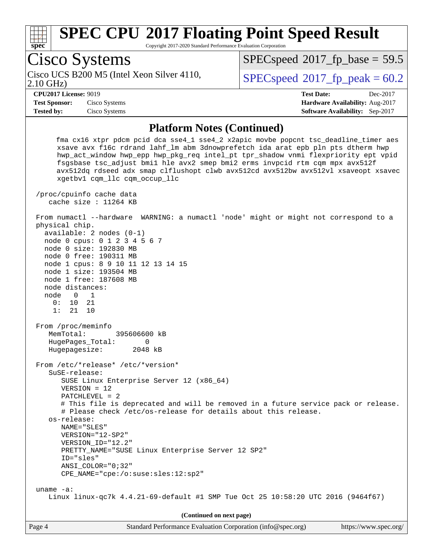

Copyright 2017-2020 Standard Performance Evaluation Corporation

Page 4 Standard Performance Evaluation Corporation [\(info@spec.org\)](mailto:info@spec.org) <https://www.spec.org/> Cisco Systems 2.10 GHz) Cisco UCS B200 M5 (Intel Xeon Silver 4110,  $SPECspeed@2017\_fp\_peak = 60.2$  $SPECspeed@2017\_fp\_peak = 60.2$  $SPECspeed^{\circ}2017\_fp\_base = 59.5$  $SPECspeed^{\circ}2017\_fp\_base = 59.5$ **[CPU2017 License:](http://www.spec.org/auto/cpu2017/Docs/result-fields.html#CPU2017License)** 9019 **[Test Date:](http://www.spec.org/auto/cpu2017/Docs/result-fields.html#TestDate)** Dec-2017 **[Test Sponsor:](http://www.spec.org/auto/cpu2017/Docs/result-fields.html#TestSponsor)** Cisco Systems **[Hardware Availability:](http://www.spec.org/auto/cpu2017/Docs/result-fields.html#HardwareAvailability)** Aug-2017 **[Tested by:](http://www.spec.org/auto/cpu2017/Docs/result-fields.html#Testedby)** Cisco Systems **[Software Availability:](http://www.spec.org/auto/cpu2017/Docs/result-fields.html#SoftwareAvailability)** Sep-2017 **[Platform Notes \(Continued\)](http://www.spec.org/auto/cpu2017/Docs/result-fields.html#PlatformNotes)** fma cx16 xtpr pdcm pcid dca sse4\_1 sse4\_2 x2apic movbe popcnt tsc\_deadline\_timer aes xsave avx f16c rdrand lahf\_lm abm 3dnowprefetch ida arat epb pln pts dtherm hwp hwp\_act\_window hwp\_epp hwp\_pkg\_req intel\_pt tpr\_shadow vnmi flexpriority ept vpid fsgsbase tsc\_adjust bmi1 hle avx2 smep bmi2 erms invpcid rtm cqm mpx avx512f avx512dq rdseed adx smap clflushopt clwb avx512cd avx512bw avx512vl xsaveopt xsavec xgetbv1 cqm\_llc cqm\_occup\_llc /proc/cpuinfo cache data cache size : 11264 KB From numactl --hardware WARNING: a numactl 'node' might or might not correspond to a physical chip. available: 2 nodes (0-1) node 0 cpus: 0 1 2 3 4 5 6 7 node 0 size: 192830 MB node 0 free: 190311 MB node 1 cpus: 8 9 10 11 12 13 14 15 node 1 size: 193504 MB node 1 free: 187608 MB node distances: node 0 1 0: 10 21 1: 21 10 From /proc/meminfo MemTotal: 395606600 kB HugePages\_Total: 0 Hugepagesize: 2048 kB From /etc/\*release\* /etc/\*version\* SuSE-release: SUSE Linux Enterprise Server 12 (x86\_64) VERSION = 12 PATCHLEVEL = 2 # This file is deprecated and will be removed in a future service pack or release. # Please check /etc/os-release for details about this release. os-release: NAME="SLES" VERSION="12-SP2" VERSION\_ID="12.2" PRETTY\_NAME="SUSE Linux Enterprise Server 12 SP2" ID="sles" ANSI\_COLOR="0;32" CPE\_NAME="cpe:/o:suse:sles:12:sp2" uname -a: Linux linux-qc7k 4.4.21-69-default #1 SMP Tue Oct 25 10:58:20 UTC 2016 (9464f67) **(Continued on next page)**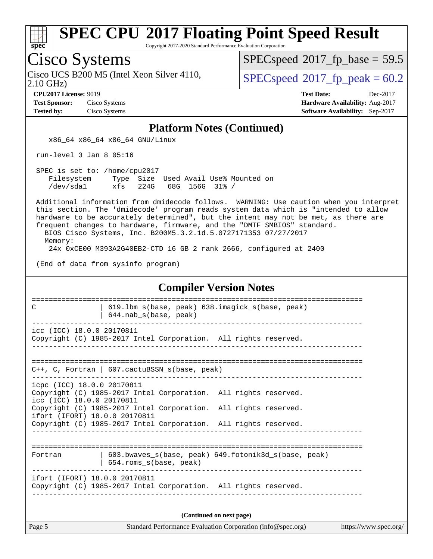

Copyright 2017-2020 Standard Performance Evaluation Corporation

## Cisco Systems

2.10 GHz) Cisco UCS B200 M5 (Intel Xeon Silver 4110,  $SPECspeed@2017\_fp\_peak = 60.2$  $SPECspeed@2017\_fp\_peak = 60.2$ 

 $SPECspeed^{\circ}2017\_fp\_base = 59.5$  $SPECspeed^{\circ}2017\_fp\_base = 59.5$ 

**[Test Sponsor:](http://www.spec.org/auto/cpu2017/Docs/result-fields.html#TestSponsor)** Cisco Systems **[Hardware Availability:](http://www.spec.org/auto/cpu2017/Docs/result-fields.html#HardwareAvailability)** Aug-2017

**[CPU2017 License:](http://www.spec.org/auto/cpu2017/Docs/result-fields.html#CPU2017License)** 9019 **[Test Date:](http://www.spec.org/auto/cpu2017/Docs/result-fields.html#TestDate)** Dec-2017 **[Tested by:](http://www.spec.org/auto/cpu2017/Docs/result-fields.html#Testedby)** Cisco Systems **[Software Availability:](http://www.spec.org/auto/cpu2017/Docs/result-fields.html#SoftwareAvailability)** Sep-2017

#### **[Platform Notes \(Continued\)](http://www.spec.org/auto/cpu2017/Docs/result-fields.html#PlatformNotes)**

x86\_64 x86\_64 x86\_64 GNU/Linux

run-level 3 Jan 8 05:16

 SPEC is set to: /home/cpu2017 Filesystem Type Size Used Avail Use% Mounted on<br>
/dev/sdal xfs 224G 68G 156G 31% / /dev/sda1 xfs 224G 68G 156G 31% /

 Additional information from dmidecode follows. WARNING: Use caution when you interpret this section. The 'dmidecode' program reads system data which is "intended to allow hardware to be accurately determined", but the intent may not be met, as there are frequent changes to hardware, firmware, and the "DMTF SMBIOS" standard. BIOS Cisco Systems, Inc. B200M5.3.2.1d.5.0727171353 07/27/2017

Memory:

24x 0xCE00 M393A2G40EB2-CTD 16 GB 2 rank 2666, configured at 2400

(End of data from sysinfo program)

#### **[Compiler Version Notes](http://www.spec.org/auto/cpu2017/Docs/result-fields.html#CompilerVersionNotes)** ============================================================================== C | 619.1bm s(base, peak) 638.imagick s(base, peak) | 644.nab\_s(base, peak) ----------------------------------------------------------------------------- icc (ICC) 18.0.0 20170811 Copyright (C) 1985-2017 Intel Corporation. All rights reserved. ------------------------------------------------------------------------------ ============================================================================== C++, C, Fortran | 607.cactuBSSN\_s(base, peak) ----------------------------------------------------------------------------- icpc (ICC) 18.0.0 20170811 Copyright (C) 1985-2017 Intel Corporation. All rights reserved. icc (ICC) 18.0.0 20170811 Copyright (C) 1985-2017 Intel Corporation. All rights reserved. ifort (IFORT) 18.0.0 20170811 Copyright (C) 1985-2017 Intel Corporation. All rights reserved. ------------------------------------------------------------------------------ ============================================================================== Fortran | 603.bwaves\_s(base, peak) 649.fotonik3d\_s(base, peak) | 654.roms\_s(base, peak) ----------------------------------------------------------------------------- ifort (IFORT) 18.0.0 20170811 Copyright (C) 1985-2017 Intel Corporation. All rights reserved. ------------------------------------------------------------------------------ **(Continued on next page)**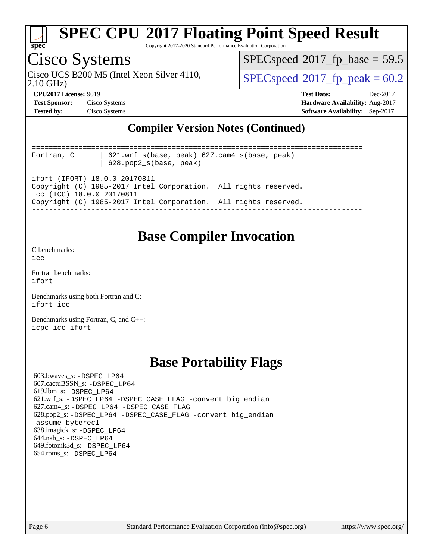

Copyright 2017-2020 Standard Performance Evaluation Corporation

### Cisco Systems

2.10 GHz) Cisco UCS B200 M5 (Intel Xeon Silver 4110,  $\vert$  [SPECspeed](http://www.spec.org/auto/cpu2017/Docs/result-fields.html#SPECspeed2017fppeak)®[2017\\_fp\\_peak = 6](http://www.spec.org/auto/cpu2017/Docs/result-fields.html#SPECspeed2017fppeak)0.2

 $SPECspeed*2017_fp\_base = 59.5$  $SPECspeed*2017_fp\_base = 59.5$ 

**[CPU2017 License:](http://www.spec.org/auto/cpu2017/Docs/result-fields.html#CPU2017License)** 9019 **[Test Date:](http://www.spec.org/auto/cpu2017/Docs/result-fields.html#TestDate)** Dec-2017 **[Test Sponsor:](http://www.spec.org/auto/cpu2017/Docs/result-fields.html#TestSponsor)** Cisco Systems **[Hardware Availability:](http://www.spec.org/auto/cpu2017/Docs/result-fields.html#HardwareAvailability)** Aug-2017 **[Tested by:](http://www.spec.org/auto/cpu2017/Docs/result-fields.html#Testedby)** Cisco Systems **[Software Availability:](http://www.spec.org/auto/cpu2017/Docs/result-fields.html#SoftwareAvailability)** Sep-2017

#### **[Compiler Version Notes \(Continued\)](http://www.spec.org/auto/cpu2017/Docs/result-fields.html#CompilerVersionNotes)**

| Fortran, C                | 621.wrf $s(base, peak)$ 627.cam4 $s(base, peak)$<br>$628.$ pop $2_s(base, peak)$                 |  |
|---------------------------|--------------------------------------------------------------------------------------------------|--|
| icc (ICC) 18.0.0 20170811 | ifort (IFORT) 18.0.0 20170811<br>Copyright (C) 1985-2017 Intel Corporation. All rights reserved. |  |
|                           | Copyright (C) 1985-2017 Intel Corporation. All rights reserved.                                  |  |

#### **[Base Compiler Invocation](http://www.spec.org/auto/cpu2017/Docs/result-fields.html#BaseCompilerInvocation)**

[C benchmarks](http://www.spec.org/auto/cpu2017/Docs/result-fields.html#Cbenchmarks):

[icc](http://www.spec.org/cpu2017/results/res2017q4/cpu2017-20171211-01564.flags.html#user_CCbase_intel_icc_18.0_66fc1ee009f7361af1fbd72ca7dcefbb700085f36577c54f309893dd4ec40d12360134090235512931783d35fd58c0460139e722d5067c5574d8eaf2b3e37e92)

[Fortran benchmarks](http://www.spec.org/auto/cpu2017/Docs/result-fields.html#Fortranbenchmarks): [ifort](http://www.spec.org/cpu2017/results/res2017q4/cpu2017-20171211-01564.flags.html#user_FCbase_intel_ifort_18.0_8111460550e3ca792625aed983ce982f94888b8b503583aa7ba2b8303487b4d8a21a13e7191a45c5fd58ff318f48f9492884d4413fa793fd88dd292cad7027ca)

[Benchmarks using both Fortran and C](http://www.spec.org/auto/cpu2017/Docs/result-fields.html#BenchmarksusingbothFortranandC): [ifort](http://www.spec.org/cpu2017/results/res2017q4/cpu2017-20171211-01564.flags.html#user_CC_FCbase_intel_ifort_18.0_8111460550e3ca792625aed983ce982f94888b8b503583aa7ba2b8303487b4d8a21a13e7191a45c5fd58ff318f48f9492884d4413fa793fd88dd292cad7027ca) [icc](http://www.spec.org/cpu2017/results/res2017q4/cpu2017-20171211-01564.flags.html#user_CC_FCbase_intel_icc_18.0_66fc1ee009f7361af1fbd72ca7dcefbb700085f36577c54f309893dd4ec40d12360134090235512931783d35fd58c0460139e722d5067c5574d8eaf2b3e37e92)

[Benchmarks using Fortran, C, and C++:](http://www.spec.org/auto/cpu2017/Docs/result-fields.html#BenchmarksusingFortranCandCXX) [icpc](http://www.spec.org/cpu2017/results/res2017q4/cpu2017-20171211-01564.flags.html#user_CC_CXX_FCbase_intel_icpc_18.0_c510b6838c7f56d33e37e94d029a35b4a7bccf4766a728ee175e80a419847e808290a9b78be685c44ab727ea267ec2f070ec5dc83b407c0218cded6866a35d07) [icc](http://www.spec.org/cpu2017/results/res2017q4/cpu2017-20171211-01564.flags.html#user_CC_CXX_FCbase_intel_icc_18.0_66fc1ee009f7361af1fbd72ca7dcefbb700085f36577c54f309893dd4ec40d12360134090235512931783d35fd58c0460139e722d5067c5574d8eaf2b3e37e92) [ifort](http://www.spec.org/cpu2017/results/res2017q4/cpu2017-20171211-01564.flags.html#user_CC_CXX_FCbase_intel_ifort_18.0_8111460550e3ca792625aed983ce982f94888b8b503583aa7ba2b8303487b4d8a21a13e7191a45c5fd58ff318f48f9492884d4413fa793fd88dd292cad7027ca)

### **[Base Portability Flags](http://www.spec.org/auto/cpu2017/Docs/result-fields.html#BasePortabilityFlags)**

 603.bwaves\_s: [-DSPEC\\_LP64](http://www.spec.org/cpu2017/results/res2017q4/cpu2017-20171211-01564.flags.html#suite_basePORTABILITY603_bwaves_s_DSPEC_LP64) 607.cactuBSSN\_s: [-DSPEC\\_LP64](http://www.spec.org/cpu2017/results/res2017q4/cpu2017-20171211-01564.flags.html#suite_basePORTABILITY607_cactuBSSN_s_DSPEC_LP64) 619.lbm\_s: [-DSPEC\\_LP64](http://www.spec.org/cpu2017/results/res2017q4/cpu2017-20171211-01564.flags.html#suite_basePORTABILITY619_lbm_s_DSPEC_LP64) 621.wrf\_s: [-DSPEC\\_LP64](http://www.spec.org/cpu2017/results/res2017q4/cpu2017-20171211-01564.flags.html#suite_basePORTABILITY621_wrf_s_DSPEC_LP64) [-DSPEC\\_CASE\\_FLAG](http://www.spec.org/cpu2017/results/res2017q4/cpu2017-20171211-01564.flags.html#b621.wrf_s_baseCPORTABILITY_DSPEC_CASE_FLAG) [-convert big\\_endian](http://www.spec.org/cpu2017/results/res2017q4/cpu2017-20171211-01564.flags.html#user_baseFPORTABILITY621_wrf_s_convert_big_endian_c3194028bc08c63ac5d04de18c48ce6d347e4e562e8892b8bdbdc0214820426deb8554edfa529a3fb25a586e65a3d812c835984020483e7e73212c4d31a38223) 627.cam4\_s: [-DSPEC\\_LP64](http://www.spec.org/cpu2017/results/res2017q4/cpu2017-20171211-01564.flags.html#suite_basePORTABILITY627_cam4_s_DSPEC_LP64) [-DSPEC\\_CASE\\_FLAG](http://www.spec.org/cpu2017/results/res2017q4/cpu2017-20171211-01564.flags.html#b627.cam4_s_baseCPORTABILITY_DSPEC_CASE_FLAG) 628.pop2\_s: [-DSPEC\\_LP64](http://www.spec.org/cpu2017/results/res2017q4/cpu2017-20171211-01564.flags.html#suite_basePORTABILITY628_pop2_s_DSPEC_LP64) [-DSPEC\\_CASE\\_FLAG](http://www.spec.org/cpu2017/results/res2017q4/cpu2017-20171211-01564.flags.html#b628.pop2_s_baseCPORTABILITY_DSPEC_CASE_FLAG) [-convert big\\_endian](http://www.spec.org/cpu2017/results/res2017q4/cpu2017-20171211-01564.flags.html#user_baseFPORTABILITY628_pop2_s_convert_big_endian_c3194028bc08c63ac5d04de18c48ce6d347e4e562e8892b8bdbdc0214820426deb8554edfa529a3fb25a586e65a3d812c835984020483e7e73212c4d31a38223) [-assume byterecl](http://www.spec.org/cpu2017/results/res2017q4/cpu2017-20171211-01564.flags.html#user_baseFPORTABILITY628_pop2_s_assume_byterecl_7e47d18b9513cf18525430bbf0f2177aa9bf368bc7a059c09b2c06a34b53bd3447c950d3f8d6c70e3faf3a05c8557d66a5798b567902e8849adc142926523472) 638.imagick\_s: [-DSPEC\\_LP64](http://www.spec.org/cpu2017/results/res2017q4/cpu2017-20171211-01564.flags.html#suite_basePORTABILITY638_imagick_s_DSPEC_LP64) 644.nab\_s: [-DSPEC\\_LP64](http://www.spec.org/cpu2017/results/res2017q4/cpu2017-20171211-01564.flags.html#suite_basePORTABILITY644_nab_s_DSPEC_LP64) 649.fotonik3d\_s: [-DSPEC\\_LP64](http://www.spec.org/cpu2017/results/res2017q4/cpu2017-20171211-01564.flags.html#suite_basePORTABILITY649_fotonik3d_s_DSPEC_LP64) 654.roms\_s: [-DSPEC\\_LP64](http://www.spec.org/cpu2017/results/res2017q4/cpu2017-20171211-01564.flags.html#suite_basePORTABILITY654_roms_s_DSPEC_LP64)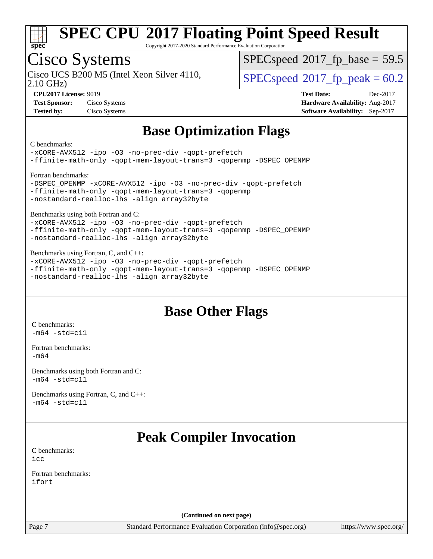

Copyright 2017-2020 Standard Performance Evaluation Corporation

### Cisco Systems

2.10 GHz) Cisco UCS B200 M5 (Intel Xeon Silver 4110,  $\vert$  [SPECspeed](http://www.spec.org/auto/cpu2017/Docs/result-fields.html#SPECspeed2017fppeak)®[2017\\_fp\\_peak = 6](http://www.spec.org/auto/cpu2017/Docs/result-fields.html#SPECspeed2017fppeak)0.2

 $SPECspeed^{\circ}2017\_fp\_base = 59.5$  $SPECspeed^{\circ}2017\_fp\_base = 59.5$ 

**[Test Sponsor:](http://www.spec.org/auto/cpu2017/Docs/result-fields.html#TestSponsor)** Cisco Systems **[Hardware Availability:](http://www.spec.org/auto/cpu2017/Docs/result-fields.html#HardwareAvailability)** Aug-2017 **[Tested by:](http://www.spec.org/auto/cpu2017/Docs/result-fields.html#Testedby)** Cisco Systems **[Software Availability:](http://www.spec.org/auto/cpu2017/Docs/result-fields.html#SoftwareAvailability)** Sep-2017

**[CPU2017 License:](http://www.spec.org/auto/cpu2017/Docs/result-fields.html#CPU2017License)** 9019 **[Test Date:](http://www.spec.org/auto/cpu2017/Docs/result-fields.html#TestDate)** Dec-2017

### **[Base Optimization Flags](http://www.spec.org/auto/cpu2017/Docs/result-fields.html#BaseOptimizationFlags)**

#### [C benchmarks](http://www.spec.org/auto/cpu2017/Docs/result-fields.html#Cbenchmarks):

[-xCORE-AVX512](http://www.spec.org/cpu2017/results/res2017q4/cpu2017-20171211-01564.flags.html#user_CCbase_f-xCORE-AVX512) [-ipo](http://www.spec.org/cpu2017/results/res2017q4/cpu2017-20171211-01564.flags.html#user_CCbase_f-ipo) [-O3](http://www.spec.org/cpu2017/results/res2017q4/cpu2017-20171211-01564.flags.html#user_CCbase_f-O3) [-no-prec-div](http://www.spec.org/cpu2017/results/res2017q4/cpu2017-20171211-01564.flags.html#user_CCbase_f-no-prec-div) [-qopt-prefetch](http://www.spec.org/cpu2017/results/res2017q4/cpu2017-20171211-01564.flags.html#user_CCbase_f-qopt-prefetch) [-ffinite-math-only](http://www.spec.org/cpu2017/results/res2017q4/cpu2017-20171211-01564.flags.html#user_CCbase_f_finite_math_only_cb91587bd2077682c4b38af759c288ed7c732db004271a9512da14a4f8007909a5f1427ecbf1a0fb78ff2a814402c6114ac565ca162485bbcae155b5e4258871) [-qopt-mem-layout-trans=3](http://www.spec.org/cpu2017/results/res2017q4/cpu2017-20171211-01564.flags.html#user_CCbase_f-qopt-mem-layout-trans_de80db37974c74b1f0e20d883f0b675c88c3b01e9d123adea9b28688d64333345fb62bc4a798493513fdb68f60282f9a726aa07f478b2f7113531aecce732043) [-qopenmp](http://www.spec.org/cpu2017/results/res2017q4/cpu2017-20171211-01564.flags.html#user_CCbase_qopenmp_16be0c44f24f464004c6784a7acb94aca937f053568ce72f94b139a11c7c168634a55f6653758ddd83bcf7b8463e8028bb0b48b77bcddc6b78d5d95bb1df2967) [-DSPEC\\_OPENMP](http://www.spec.org/cpu2017/results/res2017q4/cpu2017-20171211-01564.flags.html#suite_CCbase_DSPEC_OPENMP) [Fortran benchmarks:](http://www.spec.org/auto/cpu2017/Docs/result-fields.html#Fortranbenchmarks)

| -DSPEC OPENMP -xCORE-AVX512 -ipo -03 -no-prec-div -qopt-prefetch |
|------------------------------------------------------------------|
| -ffinite-math-only -qopt-mem-layout-trans=3 -qopenmp             |
| -nostandard-realloc-lhs -align array32byte                       |

[Benchmarks using both Fortran and C](http://www.spec.org/auto/cpu2017/Docs/result-fields.html#BenchmarksusingbothFortranandC):

[-xCORE-AVX512](http://www.spec.org/cpu2017/results/res2017q4/cpu2017-20171211-01564.flags.html#user_CC_FCbase_f-xCORE-AVX512) [-ipo](http://www.spec.org/cpu2017/results/res2017q4/cpu2017-20171211-01564.flags.html#user_CC_FCbase_f-ipo) [-O3](http://www.spec.org/cpu2017/results/res2017q4/cpu2017-20171211-01564.flags.html#user_CC_FCbase_f-O3) [-no-prec-div](http://www.spec.org/cpu2017/results/res2017q4/cpu2017-20171211-01564.flags.html#user_CC_FCbase_f-no-prec-div) [-qopt-prefetch](http://www.spec.org/cpu2017/results/res2017q4/cpu2017-20171211-01564.flags.html#user_CC_FCbase_f-qopt-prefetch) [-ffinite-math-only](http://www.spec.org/cpu2017/results/res2017q4/cpu2017-20171211-01564.flags.html#user_CC_FCbase_f_finite_math_only_cb91587bd2077682c4b38af759c288ed7c732db004271a9512da14a4f8007909a5f1427ecbf1a0fb78ff2a814402c6114ac565ca162485bbcae155b5e4258871) [-qopt-mem-layout-trans=3](http://www.spec.org/cpu2017/results/res2017q4/cpu2017-20171211-01564.flags.html#user_CC_FCbase_f-qopt-mem-layout-trans_de80db37974c74b1f0e20d883f0b675c88c3b01e9d123adea9b28688d64333345fb62bc4a798493513fdb68f60282f9a726aa07f478b2f7113531aecce732043) [-qopenmp](http://www.spec.org/cpu2017/results/res2017q4/cpu2017-20171211-01564.flags.html#user_CC_FCbase_qopenmp_16be0c44f24f464004c6784a7acb94aca937f053568ce72f94b139a11c7c168634a55f6653758ddd83bcf7b8463e8028bb0b48b77bcddc6b78d5d95bb1df2967) [-DSPEC\\_OPENMP](http://www.spec.org/cpu2017/results/res2017q4/cpu2017-20171211-01564.flags.html#suite_CC_FCbase_DSPEC_OPENMP) [-nostandard-realloc-lhs](http://www.spec.org/cpu2017/results/res2017q4/cpu2017-20171211-01564.flags.html#user_CC_FCbase_f_2003_std_realloc_82b4557e90729c0f113870c07e44d33d6f5a304b4f63d4c15d2d0f1fab99f5daaed73bdb9275d9ae411527f28b936061aa8b9c8f2d63842963b95c9dd6426b8a) [-align array32byte](http://www.spec.org/cpu2017/results/res2017q4/cpu2017-20171211-01564.flags.html#user_CC_FCbase_align_array32byte_b982fe038af199962ba9a80c053b8342c548c85b40b8e86eb3cc33dee0d7986a4af373ac2d51c3f7cf710a18d62fdce2948f201cd044323541f22fc0fffc51b6)

[Benchmarks using Fortran, C, and C++](http://www.spec.org/auto/cpu2017/Docs/result-fields.html#BenchmarksusingFortranCandCXX):

[-xCORE-AVX512](http://www.spec.org/cpu2017/results/res2017q4/cpu2017-20171211-01564.flags.html#user_CC_CXX_FCbase_f-xCORE-AVX512) [-ipo](http://www.spec.org/cpu2017/results/res2017q4/cpu2017-20171211-01564.flags.html#user_CC_CXX_FCbase_f-ipo) [-O3](http://www.spec.org/cpu2017/results/res2017q4/cpu2017-20171211-01564.flags.html#user_CC_CXX_FCbase_f-O3) [-no-prec-div](http://www.spec.org/cpu2017/results/res2017q4/cpu2017-20171211-01564.flags.html#user_CC_CXX_FCbase_f-no-prec-div) [-qopt-prefetch](http://www.spec.org/cpu2017/results/res2017q4/cpu2017-20171211-01564.flags.html#user_CC_CXX_FCbase_f-qopt-prefetch) [-ffinite-math-only](http://www.spec.org/cpu2017/results/res2017q4/cpu2017-20171211-01564.flags.html#user_CC_CXX_FCbase_f_finite_math_only_cb91587bd2077682c4b38af759c288ed7c732db004271a9512da14a4f8007909a5f1427ecbf1a0fb78ff2a814402c6114ac565ca162485bbcae155b5e4258871) [-qopt-mem-layout-trans=3](http://www.spec.org/cpu2017/results/res2017q4/cpu2017-20171211-01564.flags.html#user_CC_CXX_FCbase_f-qopt-mem-layout-trans_de80db37974c74b1f0e20d883f0b675c88c3b01e9d123adea9b28688d64333345fb62bc4a798493513fdb68f60282f9a726aa07f478b2f7113531aecce732043) [-qopenmp](http://www.spec.org/cpu2017/results/res2017q4/cpu2017-20171211-01564.flags.html#user_CC_CXX_FCbase_qopenmp_16be0c44f24f464004c6784a7acb94aca937f053568ce72f94b139a11c7c168634a55f6653758ddd83bcf7b8463e8028bb0b48b77bcddc6b78d5d95bb1df2967) [-DSPEC\\_OPENMP](http://www.spec.org/cpu2017/results/res2017q4/cpu2017-20171211-01564.flags.html#suite_CC_CXX_FCbase_DSPEC_OPENMP) [-nostandard-realloc-lhs](http://www.spec.org/cpu2017/results/res2017q4/cpu2017-20171211-01564.flags.html#user_CC_CXX_FCbase_f_2003_std_realloc_82b4557e90729c0f113870c07e44d33d6f5a304b4f63d4c15d2d0f1fab99f5daaed73bdb9275d9ae411527f28b936061aa8b9c8f2d63842963b95c9dd6426b8a) [-align array32byte](http://www.spec.org/cpu2017/results/res2017q4/cpu2017-20171211-01564.flags.html#user_CC_CXX_FCbase_align_array32byte_b982fe038af199962ba9a80c053b8342c548c85b40b8e86eb3cc33dee0d7986a4af373ac2d51c3f7cf710a18d62fdce2948f201cd044323541f22fc0fffc51b6)

### **[Base Other Flags](http://www.spec.org/auto/cpu2017/Docs/result-fields.html#BaseOtherFlags)**

[C benchmarks](http://www.spec.org/auto/cpu2017/Docs/result-fields.html#Cbenchmarks):  $-m64 - std= c11$  $-m64 - std= c11$ 

[Fortran benchmarks](http://www.spec.org/auto/cpu2017/Docs/result-fields.html#Fortranbenchmarks): [-m64](http://www.spec.org/cpu2017/results/res2017q4/cpu2017-20171211-01564.flags.html#user_FCbase_intel_intel64_18.0_af43caccfc8ded86e7699f2159af6efc7655f51387b94da716254467f3c01020a5059329e2569e4053f409e7c9202a7efc638f7a6d1ffb3f52dea4a3e31d82ab)

[Benchmarks using both Fortran and C](http://www.spec.org/auto/cpu2017/Docs/result-fields.html#BenchmarksusingbothFortranandC):  $-m64$   $-std=cl1$ 

[Benchmarks using Fortran, C, and C++:](http://www.spec.org/auto/cpu2017/Docs/result-fields.html#BenchmarksusingFortranCandCXX)  $-m64 - std= c11$  $-m64 - std= c11$ 

### **[Peak Compiler Invocation](http://www.spec.org/auto/cpu2017/Docs/result-fields.html#PeakCompilerInvocation)**

[C benchmarks](http://www.spec.org/auto/cpu2017/Docs/result-fields.html#Cbenchmarks): [icc](http://www.spec.org/cpu2017/results/res2017q4/cpu2017-20171211-01564.flags.html#user_CCpeak_intel_icc_18.0_66fc1ee009f7361af1fbd72ca7dcefbb700085f36577c54f309893dd4ec40d12360134090235512931783d35fd58c0460139e722d5067c5574d8eaf2b3e37e92)

[Fortran benchmarks](http://www.spec.org/auto/cpu2017/Docs/result-fields.html#Fortranbenchmarks): [ifort](http://www.spec.org/cpu2017/results/res2017q4/cpu2017-20171211-01564.flags.html#user_FCpeak_intel_ifort_18.0_8111460550e3ca792625aed983ce982f94888b8b503583aa7ba2b8303487b4d8a21a13e7191a45c5fd58ff318f48f9492884d4413fa793fd88dd292cad7027ca)

**(Continued on next page)**

Page 7 Standard Performance Evaluation Corporation [\(info@spec.org\)](mailto:info@spec.org) <https://www.spec.org/>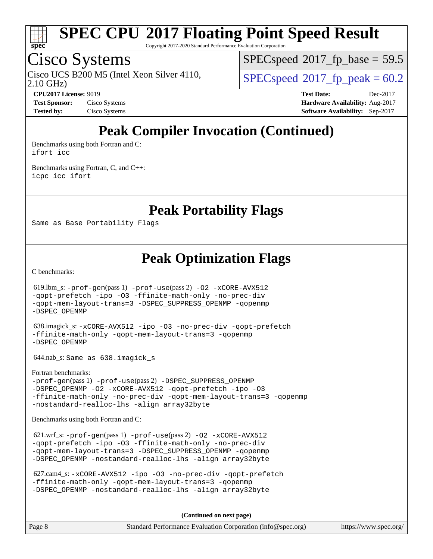

Copyright 2017-2020 Standard Performance Evaluation Corporation

### Cisco Systems

2.10 GHz) Cisco UCS B200 M5 (Intel Xeon Silver 4110,  $SPECspeed@2017\_fp\_peak = 60.2$  $SPECspeed@2017\_fp\_peak = 60.2$ 

 $SPECspeed^{\circ}2017\_fp\_base = 59.5$  $SPECspeed^{\circ}2017\_fp\_base = 59.5$ 

**[CPU2017 License:](http://www.spec.org/auto/cpu2017/Docs/result-fields.html#CPU2017License)** 9019 **[Test Date:](http://www.spec.org/auto/cpu2017/Docs/result-fields.html#TestDate)** Dec-2017 **[Test Sponsor:](http://www.spec.org/auto/cpu2017/Docs/result-fields.html#TestSponsor)** Cisco Systems **[Hardware Availability:](http://www.spec.org/auto/cpu2017/Docs/result-fields.html#HardwareAvailability)** Aug-2017 **[Tested by:](http://www.spec.org/auto/cpu2017/Docs/result-fields.html#Testedby)** Cisco Systems **[Software Availability:](http://www.spec.org/auto/cpu2017/Docs/result-fields.html#SoftwareAvailability)** Sep-2017

### **[Peak Compiler Invocation \(Continued\)](http://www.spec.org/auto/cpu2017/Docs/result-fields.html#PeakCompilerInvocation)**

[Benchmarks using both Fortran and C](http://www.spec.org/auto/cpu2017/Docs/result-fields.html#BenchmarksusingbothFortranandC): [ifort](http://www.spec.org/cpu2017/results/res2017q4/cpu2017-20171211-01564.flags.html#user_CC_FCpeak_intel_ifort_18.0_8111460550e3ca792625aed983ce982f94888b8b503583aa7ba2b8303487b4d8a21a13e7191a45c5fd58ff318f48f9492884d4413fa793fd88dd292cad7027ca) [icc](http://www.spec.org/cpu2017/results/res2017q4/cpu2017-20171211-01564.flags.html#user_CC_FCpeak_intel_icc_18.0_66fc1ee009f7361af1fbd72ca7dcefbb700085f36577c54f309893dd4ec40d12360134090235512931783d35fd58c0460139e722d5067c5574d8eaf2b3e37e92)

[Benchmarks using Fortran, C, and C++:](http://www.spec.org/auto/cpu2017/Docs/result-fields.html#BenchmarksusingFortranCandCXX) [icpc](http://www.spec.org/cpu2017/results/res2017q4/cpu2017-20171211-01564.flags.html#user_CC_CXX_FCpeak_intel_icpc_18.0_c510b6838c7f56d33e37e94d029a35b4a7bccf4766a728ee175e80a419847e808290a9b78be685c44ab727ea267ec2f070ec5dc83b407c0218cded6866a35d07) [icc](http://www.spec.org/cpu2017/results/res2017q4/cpu2017-20171211-01564.flags.html#user_CC_CXX_FCpeak_intel_icc_18.0_66fc1ee009f7361af1fbd72ca7dcefbb700085f36577c54f309893dd4ec40d12360134090235512931783d35fd58c0460139e722d5067c5574d8eaf2b3e37e92) [ifort](http://www.spec.org/cpu2017/results/res2017q4/cpu2017-20171211-01564.flags.html#user_CC_CXX_FCpeak_intel_ifort_18.0_8111460550e3ca792625aed983ce982f94888b8b503583aa7ba2b8303487b4d8a21a13e7191a45c5fd58ff318f48f9492884d4413fa793fd88dd292cad7027ca)

**[Peak Portability Flags](http://www.spec.org/auto/cpu2017/Docs/result-fields.html#PeakPortabilityFlags)**

Same as Base Portability Flags

**[Peak Optimization Flags](http://www.spec.org/auto/cpu2017/Docs/result-fields.html#PeakOptimizationFlags)**

[C benchmarks](http://www.spec.org/auto/cpu2017/Docs/result-fields.html#Cbenchmarks):

 619.lbm\_s: [-prof-gen](http://www.spec.org/cpu2017/results/res2017q4/cpu2017-20171211-01564.flags.html#user_peakPASS1_CFLAGSPASS1_LDFLAGS619_lbm_s_prof_gen_5aa4926d6013ddb2a31985c654b3eb18169fc0c6952a63635c234f711e6e63dd76e94ad52365559451ec499a2cdb89e4dc58ba4c67ef54ca681ffbe1461d6b36)(pass 1) [-prof-use](http://www.spec.org/cpu2017/results/res2017q4/cpu2017-20171211-01564.flags.html#user_peakPASS2_CFLAGSPASS2_LDFLAGS619_lbm_s_prof_use_1a21ceae95f36a2b53c25747139a6c16ca95bd9def2a207b4f0849963b97e94f5260e30a0c64f4bb623698870e679ca08317ef8150905d41bd88c6f78df73f19)(pass 2) [-O2](http://www.spec.org/cpu2017/results/res2017q4/cpu2017-20171211-01564.flags.html#user_peakPASS1_COPTIMIZE619_lbm_s_f-O2) [-xCORE-AVX512](http://www.spec.org/cpu2017/results/res2017q4/cpu2017-20171211-01564.flags.html#user_peakPASS2_COPTIMIZE619_lbm_s_f-xCORE-AVX512) [-qopt-prefetch](http://www.spec.org/cpu2017/results/res2017q4/cpu2017-20171211-01564.flags.html#user_peakPASS1_COPTIMIZEPASS2_COPTIMIZE619_lbm_s_f-qopt-prefetch) [-ipo](http://www.spec.org/cpu2017/results/res2017q4/cpu2017-20171211-01564.flags.html#user_peakPASS2_COPTIMIZE619_lbm_s_f-ipo) [-O3](http://www.spec.org/cpu2017/results/res2017q4/cpu2017-20171211-01564.flags.html#user_peakPASS2_COPTIMIZE619_lbm_s_f-O3) [-ffinite-math-only](http://www.spec.org/cpu2017/results/res2017q4/cpu2017-20171211-01564.flags.html#user_peakPASS1_COPTIMIZEPASS2_COPTIMIZE619_lbm_s_f_finite_math_only_cb91587bd2077682c4b38af759c288ed7c732db004271a9512da14a4f8007909a5f1427ecbf1a0fb78ff2a814402c6114ac565ca162485bbcae155b5e4258871) [-no-prec-div](http://www.spec.org/cpu2017/results/res2017q4/cpu2017-20171211-01564.flags.html#user_peakPASS2_COPTIMIZE619_lbm_s_f-no-prec-div) [-qopt-mem-layout-trans=3](http://www.spec.org/cpu2017/results/res2017q4/cpu2017-20171211-01564.flags.html#user_peakPASS1_COPTIMIZEPASS2_COPTIMIZE619_lbm_s_f-qopt-mem-layout-trans_de80db37974c74b1f0e20d883f0b675c88c3b01e9d123adea9b28688d64333345fb62bc4a798493513fdb68f60282f9a726aa07f478b2f7113531aecce732043) [-DSPEC\\_SUPPRESS\\_OPENMP](http://www.spec.org/cpu2017/results/res2017q4/cpu2017-20171211-01564.flags.html#suite_peakPASS1_COPTIMIZE619_lbm_s_DSPEC_SUPPRESS_OPENMP) [-qopenmp](http://www.spec.org/cpu2017/results/res2017q4/cpu2017-20171211-01564.flags.html#user_peakPASS2_COPTIMIZE619_lbm_s_qopenmp_16be0c44f24f464004c6784a7acb94aca937f053568ce72f94b139a11c7c168634a55f6653758ddd83bcf7b8463e8028bb0b48b77bcddc6b78d5d95bb1df2967) [-DSPEC\\_OPENMP](http://www.spec.org/cpu2017/results/res2017q4/cpu2017-20171211-01564.flags.html#suite_peakPASS2_COPTIMIZE619_lbm_s_DSPEC_OPENMP) 638.imagick\_s: [-xCORE-AVX512](http://www.spec.org/cpu2017/results/res2017q4/cpu2017-20171211-01564.flags.html#user_peakCOPTIMIZE638_imagick_s_f-xCORE-AVX512) [-ipo](http://www.spec.org/cpu2017/results/res2017q4/cpu2017-20171211-01564.flags.html#user_peakCOPTIMIZE638_imagick_s_f-ipo) [-O3](http://www.spec.org/cpu2017/results/res2017q4/cpu2017-20171211-01564.flags.html#user_peakCOPTIMIZE638_imagick_s_f-O3) [-no-prec-div](http://www.spec.org/cpu2017/results/res2017q4/cpu2017-20171211-01564.flags.html#user_peakCOPTIMIZE638_imagick_s_f-no-prec-div) [-qopt-prefetch](http://www.spec.org/cpu2017/results/res2017q4/cpu2017-20171211-01564.flags.html#user_peakCOPTIMIZE638_imagick_s_f-qopt-prefetch) [-ffinite-math-only](http://www.spec.org/cpu2017/results/res2017q4/cpu2017-20171211-01564.flags.html#user_peakCOPTIMIZE638_imagick_s_f_finite_math_only_cb91587bd2077682c4b38af759c288ed7c732db004271a9512da14a4f8007909a5f1427ecbf1a0fb78ff2a814402c6114ac565ca162485bbcae155b5e4258871) [-qopt-mem-layout-trans=3](http://www.spec.org/cpu2017/results/res2017q4/cpu2017-20171211-01564.flags.html#user_peakCOPTIMIZE638_imagick_s_f-qopt-mem-layout-trans_de80db37974c74b1f0e20d883f0b675c88c3b01e9d123adea9b28688d64333345fb62bc4a798493513fdb68f60282f9a726aa07f478b2f7113531aecce732043) [-qopenmp](http://www.spec.org/cpu2017/results/res2017q4/cpu2017-20171211-01564.flags.html#user_peakCOPTIMIZE638_imagick_s_qopenmp_16be0c44f24f464004c6784a7acb94aca937f053568ce72f94b139a11c7c168634a55f6653758ddd83bcf7b8463e8028bb0b48b77bcddc6b78d5d95bb1df2967) [-DSPEC\\_OPENMP](http://www.spec.org/cpu2017/results/res2017q4/cpu2017-20171211-01564.flags.html#suite_peakCOPTIMIZE638_imagick_s_DSPEC_OPENMP) 644.nab\_s: Same as 638.imagick\_s [Fortran benchmarks](http://www.spec.org/auto/cpu2017/Docs/result-fields.html#Fortranbenchmarks): [-prof-gen](http://www.spec.org/cpu2017/results/res2017q4/cpu2017-20171211-01564.flags.html#user_FCpeak_prof_gen_5aa4926d6013ddb2a31985c654b3eb18169fc0c6952a63635c234f711e6e63dd76e94ad52365559451ec499a2cdb89e4dc58ba4c67ef54ca681ffbe1461d6b36)(pass 1) [-prof-use](http://www.spec.org/cpu2017/results/res2017q4/cpu2017-20171211-01564.flags.html#user_FCpeak_prof_use_1a21ceae95f36a2b53c25747139a6c16ca95bd9def2a207b4f0849963b97e94f5260e30a0c64f4bb623698870e679ca08317ef8150905d41bd88c6f78df73f19)(pass 2) [-DSPEC\\_SUPPRESS\\_OPENMP](http://www.spec.org/cpu2017/results/res2017q4/cpu2017-20171211-01564.flags.html#suite_FCpeak_DSPEC_SUPPRESS_OPENMP) -DSPEC OPENMP [-O2](http://www.spec.org/cpu2017/results/res2017q4/cpu2017-20171211-01564.flags.html#user_FCpeak_f-O2) [-xCORE-AVX512](http://www.spec.org/cpu2017/results/res2017q4/cpu2017-20171211-01564.flags.html#user_FCpeak_f-xCORE-AVX512) [-qopt-prefetch](http://www.spec.org/cpu2017/results/res2017q4/cpu2017-20171211-01564.flags.html#user_FCpeak_f-qopt-prefetch) [-ipo](http://www.spec.org/cpu2017/results/res2017q4/cpu2017-20171211-01564.flags.html#user_FCpeak_f-ipo) [-O3](http://www.spec.org/cpu2017/results/res2017q4/cpu2017-20171211-01564.flags.html#user_FCpeak_f-O3) [-ffinite-math-only](http://www.spec.org/cpu2017/results/res2017q4/cpu2017-20171211-01564.flags.html#user_FCpeak_f_finite_math_only_cb91587bd2077682c4b38af759c288ed7c732db004271a9512da14a4f8007909a5f1427ecbf1a0fb78ff2a814402c6114ac565ca162485bbcae155b5e4258871) [-no-prec-div](http://www.spec.org/cpu2017/results/res2017q4/cpu2017-20171211-01564.flags.html#user_FCpeak_f-no-prec-div) [-qopt-mem-layout-trans=3](http://www.spec.org/cpu2017/results/res2017q4/cpu2017-20171211-01564.flags.html#user_FCpeak_f-qopt-mem-layout-trans_de80db37974c74b1f0e20d883f0b675c88c3b01e9d123adea9b28688d64333345fb62bc4a798493513fdb68f60282f9a726aa07f478b2f7113531aecce732043) [-qopenmp](http://www.spec.org/cpu2017/results/res2017q4/cpu2017-20171211-01564.flags.html#user_FCpeak_qopenmp_16be0c44f24f464004c6784a7acb94aca937f053568ce72f94b139a11c7c168634a55f6653758ddd83bcf7b8463e8028bb0b48b77bcddc6b78d5d95bb1df2967) [-nostandard-realloc-lhs](http://www.spec.org/cpu2017/results/res2017q4/cpu2017-20171211-01564.flags.html#user_FCpeak_f_2003_std_realloc_82b4557e90729c0f113870c07e44d33d6f5a304b4f63d4c15d2d0f1fab99f5daaed73bdb9275d9ae411527f28b936061aa8b9c8f2d63842963b95c9dd6426b8a) [-align array32byte](http://www.spec.org/cpu2017/results/res2017q4/cpu2017-20171211-01564.flags.html#user_FCpeak_align_array32byte_b982fe038af199962ba9a80c053b8342c548c85b40b8e86eb3cc33dee0d7986a4af373ac2d51c3f7cf710a18d62fdce2948f201cd044323541f22fc0fffc51b6) [Benchmarks using both Fortran and C](http://www.spec.org/auto/cpu2017/Docs/result-fields.html#BenchmarksusingbothFortranandC): 621.wrf\_s: [-prof-gen](http://www.spec.org/cpu2017/results/res2017q4/cpu2017-20171211-01564.flags.html#user_peakPASS1_CFLAGSPASS1_FFLAGSPASS1_LDFLAGS621_wrf_s_prof_gen_5aa4926d6013ddb2a31985c654b3eb18169fc0c6952a63635c234f711e6e63dd76e94ad52365559451ec499a2cdb89e4dc58ba4c67ef54ca681ffbe1461d6b36)(pass 1) [-prof-use](http://www.spec.org/cpu2017/results/res2017q4/cpu2017-20171211-01564.flags.html#user_peakPASS2_CFLAGSPASS2_FFLAGSPASS2_LDFLAGS621_wrf_s_prof_use_1a21ceae95f36a2b53c25747139a6c16ca95bd9def2a207b4f0849963b97e94f5260e30a0c64f4bb623698870e679ca08317ef8150905d41bd88c6f78df73f19)(pass 2) [-O2](http://www.spec.org/cpu2017/results/res2017q4/cpu2017-20171211-01564.flags.html#user_peakPASS1_COPTIMIZEPASS1_FOPTIMIZE621_wrf_s_f-O2) [-xCORE-AVX512](http://www.spec.org/cpu2017/results/res2017q4/cpu2017-20171211-01564.flags.html#user_peakPASS2_COPTIMIZEPASS2_FOPTIMIZE621_wrf_s_f-xCORE-AVX512) [-qopt-prefetch](http://www.spec.org/cpu2017/results/res2017q4/cpu2017-20171211-01564.flags.html#user_peakPASS1_COPTIMIZEPASS1_FOPTIMIZEPASS2_COPTIMIZEPASS2_FOPTIMIZE621_wrf_s_f-qopt-prefetch) [-ipo](http://www.spec.org/cpu2017/results/res2017q4/cpu2017-20171211-01564.flags.html#user_peakPASS2_COPTIMIZEPASS2_FOPTIMIZE621_wrf_s_f-ipo) [-O3](http://www.spec.org/cpu2017/results/res2017q4/cpu2017-20171211-01564.flags.html#user_peakPASS2_COPTIMIZEPASS2_FOPTIMIZE621_wrf_s_f-O3) [-ffinite-math-only](http://www.spec.org/cpu2017/results/res2017q4/cpu2017-20171211-01564.flags.html#user_peakPASS1_COPTIMIZEPASS1_FOPTIMIZEPASS2_COPTIMIZEPASS2_FOPTIMIZE621_wrf_s_f_finite_math_only_cb91587bd2077682c4b38af759c288ed7c732db004271a9512da14a4f8007909a5f1427ecbf1a0fb78ff2a814402c6114ac565ca162485bbcae155b5e4258871) [-no-prec-div](http://www.spec.org/cpu2017/results/res2017q4/cpu2017-20171211-01564.flags.html#user_peakPASS2_COPTIMIZEPASS2_FOPTIMIZE621_wrf_s_f-no-prec-div) [-qopt-mem-layout-trans=3](http://www.spec.org/cpu2017/results/res2017q4/cpu2017-20171211-01564.flags.html#user_peakPASS1_COPTIMIZEPASS1_FOPTIMIZEPASS2_COPTIMIZEPASS2_FOPTIMIZE621_wrf_s_f-qopt-mem-layout-trans_de80db37974c74b1f0e20d883f0b675c88c3b01e9d123adea9b28688d64333345fb62bc4a798493513fdb68f60282f9a726aa07f478b2f7113531aecce732043) [-DSPEC\\_SUPPRESS\\_OPENMP](http://www.spec.org/cpu2017/results/res2017q4/cpu2017-20171211-01564.flags.html#suite_peakPASS1_COPTIMIZEPASS1_FOPTIMIZE621_wrf_s_DSPEC_SUPPRESS_OPENMP) [-qopenmp](http://www.spec.org/cpu2017/results/res2017q4/cpu2017-20171211-01564.flags.html#user_peakPASS2_COPTIMIZEPASS2_FOPTIMIZE621_wrf_s_qopenmp_16be0c44f24f464004c6784a7acb94aca937f053568ce72f94b139a11c7c168634a55f6653758ddd83bcf7b8463e8028bb0b48b77bcddc6b78d5d95bb1df2967) [-DSPEC\\_OPENMP](http://www.spec.org/cpu2017/results/res2017q4/cpu2017-20171211-01564.flags.html#suite_peakPASS2_COPTIMIZEPASS2_FOPTIMIZE621_wrf_s_DSPEC_OPENMP) [-nostandard-realloc-lhs](http://www.spec.org/cpu2017/results/res2017q4/cpu2017-20171211-01564.flags.html#user_peakEXTRA_FOPTIMIZE621_wrf_s_f_2003_std_realloc_82b4557e90729c0f113870c07e44d33d6f5a304b4f63d4c15d2d0f1fab99f5daaed73bdb9275d9ae411527f28b936061aa8b9c8f2d63842963b95c9dd6426b8a) [-align array32byte](http://www.spec.org/cpu2017/results/res2017q4/cpu2017-20171211-01564.flags.html#user_peakEXTRA_FOPTIMIZE621_wrf_s_align_array32byte_b982fe038af199962ba9a80c053b8342c548c85b40b8e86eb3cc33dee0d7986a4af373ac2d51c3f7cf710a18d62fdce2948f201cd044323541f22fc0fffc51b6)

 627.cam4\_s: [-xCORE-AVX512](http://www.spec.org/cpu2017/results/res2017q4/cpu2017-20171211-01564.flags.html#user_peakCOPTIMIZEFOPTIMIZE627_cam4_s_f-xCORE-AVX512) [-ipo](http://www.spec.org/cpu2017/results/res2017q4/cpu2017-20171211-01564.flags.html#user_peakCOPTIMIZEFOPTIMIZE627_cam4_s_f-ipo) [-O3](http://www.spec.org/cpu2017/results/res2017q4/cpu2017-20171211-01564.flags.html#user_peakCOPTIMIZEFOPTIMIZE627_cam4_s_f-O3) [-no-prec-div](http://www.spec.org/cpu2017/results/res2017q4/cpu2017-20171211-01564.flags.html#user_peakCOPTIMIZEFOPTIMIZE627_cam4_s_f-no-prec-div) [-qopt-prefetch](http://www.spec.org/cpu2017/results/res2017q4/cpu2017-20171211-01564.flags.html#user_peakCOPTIMIZEFOPTIMIZE627_cam4_s_f-qopt-prefetch) [-ffinite-math-only](http://www.spec.org/cpu2017/results/res2017q4/cpu2017-20171211-01564.flags.html#user_peakCOPTIMIZEFOPTIMIZE627_cam4_s_f_finite_math_only_cb91587bd2077682c4b38af759c288ed7c732db004271a9512da14a4f8007909a5f1427ecbf1a0fb78ff2a814402c6114ac565ca162485bbcae155b5e4258871) [-qopt-mem-layout-trans=3](http://www.spec.org/cpu2017/results/res2017q4/cpu2017-20171211-01564.flags.html#user_peakCOPTIMIZEFOPTIMIZE627_cam4_s_f-qopt-mem-layout-trans_de80db37974c74b1f0e20d883f0b675c88c3b01e9d123adea9b28688d64333345fb62bc4a798493513fdb68f60282f9a726aa07f478b2f7113531aecce732043) [-qopenmp](http://www.spec.org/cpu2017/results/res2017q4/cpu2017-20171211-01564.flags.html#user_peakCOPTIMIZEFOPTIMIZE627_cam4_s_qopenmp_16be0c44f24f464004c6784a7acb94aca937f053568ce72f94b139a11c7c168634a55f6653758ddd83bcf7b8463e8028bb0b48b77bcddc6b78d5d95bb1df2967) [-DSPEC\\_OPENMP](http://www.spec.org/cpu2017/results/res2017q4/cpu2017-20171211-01564.flags.html#suite_peakCOPTIMIZEFOPTIMIZE627_cam4_s_DSPEC_OPENMP) [-nostandard-realloc-lhs](http://www.spec.org/cpu2017/results/res2017q4/cpu2017-20171211-01564.flags.html#user_peakEXTRA_FOPTIMIZE627_cam4_s_f_2003_std_realloc_82b4557e90729c0f113870c07e44d33d6f5a304b4f63d4c15d2d0f1fab99f5daaed73bdb9275d9ae411527f28b936061aa8b9c8f2d63842963b95c9dd6426b8a) [-align array32byte](http://www.spec.org/cpu2017/results/res2017q4/cpu2017-20171211-01564.flags.html#user_peakEXTRA_FOPTIMIZE627_cam4_s_align_array32byte_b982fe038af199962ba9a80c053b8342c548c85b40b8e86eb3cc33dee0d7986a4af373ac2d51c3f7cf710a18d62fdce2948f201cd044323541f22fc0fffc51b6)

**(Continued on next page)**